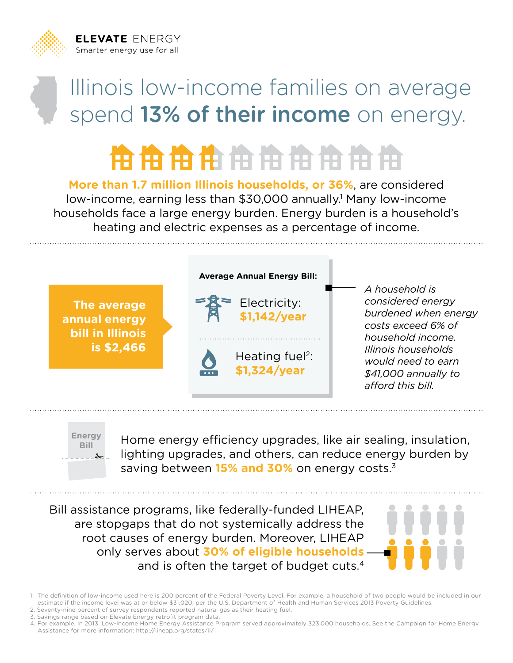**ELEVATE ENERGY** Smarter energy use for all



## **HEIHHHHHHHHH**

**More than 1.7 million Illinois households, or 36%**, are considered low-income, earning less than \$30,000 annually.<sup>1</sup> Many low-income households face a large energy burden. Energy burden is a household's heating and electric expenses as a percentage of income.





Home energy efficiency upgrades, like air sealing, insulation, lighting upgrades, and others, can reduce energy burden by saving between **15% and 30%** on energy costs.3

Bill assistance programs, like federally-funded LIHEAP, are stopgaps that do not systemically address the root causes of energy burden. Moreover, LIHEAP only serves about **30% of eligible households**  and is often the target of budget cuts.4



1. The definition of low-income used here is 200 percent of the Federal Poverty Level. For example, a household of two people would be included in our estimate if the income level was at or below \$31,020, per the U.S. Department of Health and Human Services 2013 Poverty Guidelines.

- 2. Seventy-nine percent of survey respondents reported natural gas as their heating fuel.
- 3. Savings range based on Elevate Energy retrofit program data.

<sup>4.</sup> For example, in 2013, Low-Income Home Energy Assistance Program served approximately 323,000 households. See the Campaign for Home Energy Assistance for more information: http://liheap.org/states/il/